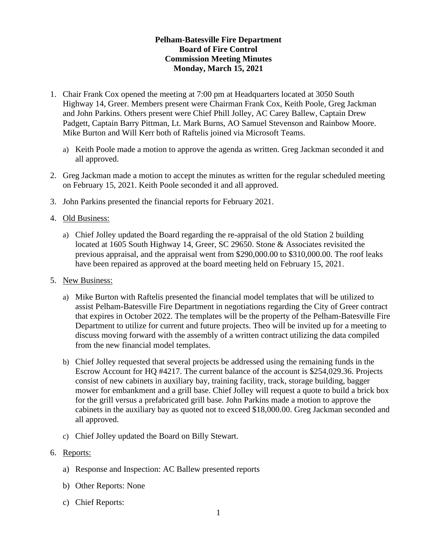## **Pelham-Batesville Fire Department Board of Fire Control Commission Meeting Minutes Monday, March 15, 2021**

- 1. Chair Frank Cox opened the meeting at 7:00 pm at Headquarters located at 3050 South Highway 14, Greer. Members present were Chairman Frank Cox, Keith Poole, Greg Jackman and John Parkins. Others present were Chief Phill Jolley, AC Carey Ballew, Captain Drew Padgett, Captain Barry Pittman, Lt. Mark Burns, AO Samuel Stevenson and Rainbow Moore. Mike Burton and Will Kerr both of Raftelis joined via Microsoft Teams.
	- a) Keith Poole made a motion to approve the agenda as written. Greg Jackman seconded it and all approved.
- 2. Greg Jackman made a motion to accept the minutes as written for the regular scheduled meeting on February 15, 2021. Keith Poole seconded it and all approved.
- 3. John Parkins presented the financial reports for February 2021.
- 4. Old Business:
	- a) Chief Jolley updated the Board regarding the re-appraisal of the old Station 2 building located at 1605 South Highway 14, Greer, SC 29650. Stone & Associates revisited the previous appraisal, and the appraisal went from \$290,000.00 to \$310,000.00. The roof leaks have been repaired as approved at the board meeting held on February 15, 2021.
- 5. New Business:
	- a) Mike Burton with Raftelis presented the financial model templates that will be utilized to assist Pelham-Batesville Fire Department in negotiations regarding the City of Greer contract that expires in October 2022. The templates will be the property of the Pelham-Batesville Fire Department to utilize for current and future projects. Theo will be invited up for a meeting to discuss moving forward with the assembly of a written contract utilizing the data compiled from the new financial model templates.
	- b) Chief Jolley requested that several projects be addressed using the remaining funds in the Escrow Account for HQ #4217. The current balance of the account is \$254,029.36. Projects consist of new cabinets in auxiliary bay, training facility, track, storage building, bagger mower for embankment and a grill base. Chief Jolley will request a quote to build a brick box for the grill versus a prefabricated grill base. John Parkins made a motion to approve the cabinets in the auxiliary bay as quoted not to exceed \$18,000.00. Greg Jackman seconded and all approved.
	- c) Chief Jolley updated the Board on Billy Stewart.
- 6. Reports:
	- a) Response and Inspection: AC Ballew presented reports
	- b) Other Reports: None
	- c) Chief Reports: